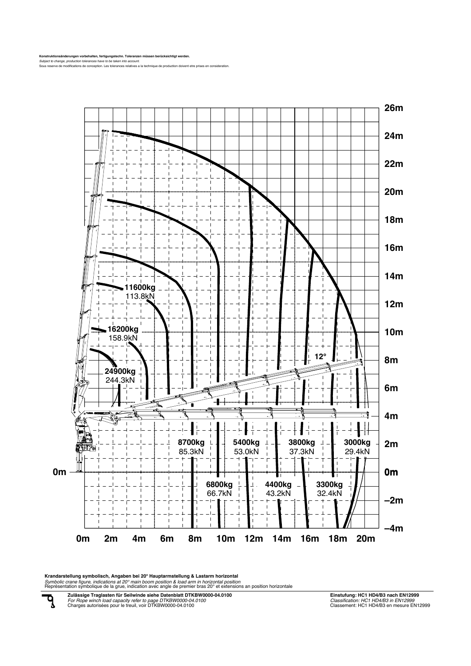Konstruktionsänderungen vorbehalten, fertigungstechn. Toleranzen müssen berücksichtigt werden.<br>Subject to *change, production tolerances have to be taken into account.*<br>Sous reserve de modifications de conception. Les tole



Kran**darstellung symbolisch, Angaben bei 20° Hauptarmstellung & Lastarm horizontal**<br>*Symbolic crane figure, indications at 20° main boom position & load arm in horizontal position*<br>Représentation symbolique de la grue, ind

**Zulässige Traglasten für Seilwinde siehe Datenblatt DTKBW0000-04.0100** *For Rope winch load capacity refer to page DTKBW0000-04.0100* Charges autorisées pour le treuil, voir DTKBW0000-04.0100

ą

**Einstufung: HC1 HD4/B3 nach EN12999** *Classification: HC1 HD4/B3 in EN12999* Classement: HC1 HD4/B3 en mesure EN12999